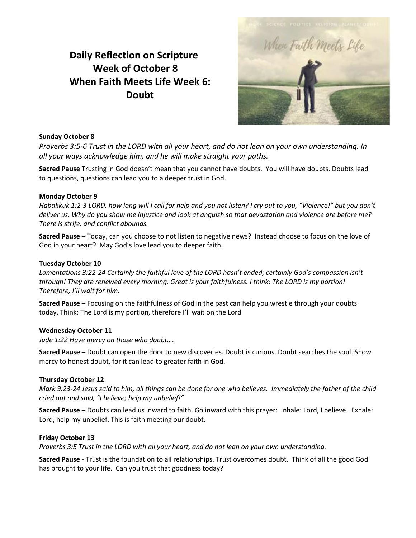# **Daily Reflection on Scripture Week of October 8 When Faith Meets Life Week 6: Doubt**



## **Sunday October 8**

*Proverbs 3:5-6 Trust in the LORD with all your heart, and do not lean on your own understanding. In all your ways acknowledge him, and he will make straight your paths.*

**Sacred Pause** Trusting in God doesn't mean that you cannot have doubts. You will have doubts. Doubts lead to questions, questions can lead you to a deeper trust in God.

### **Monday October 9**

*Habakkuk 1:2-3 LORD, how long will I call for help and you not listen? I cry out to you, "Violence!" but you don't deliver us. Why do you show me injustice and look at anguish so that devastation and violence are before me? There is strife, and conflict abounds.*

**Sacred Pause** – Today, can you choose to not listen to negative news? Instead choose to focus on the love of God in your heart? May God's love lead you to deeper faith.

### **Tuesday October 10**

*Lamentations 3:22-24 Certainly the faithful love of the LORD hasn't ended; certainly God's compassion isn't through! They are renewed every morning. Great is your faithfulness. I think: The LORD is my portion! Therefore, I'll wait for him.*

**Sacred Pause** – Focusing on the faithfulness of God in the past can help you wrestle through your doubts today. Think: The Lord is my portion, therefore I'll wait on the Lord

### **Wednesday October 11**

*Jude 1:22 Have mercy on those who doubt….*

**Sacred Pause** – Doubt can open the door to new discoveries. Doubt is curious. Doubt searches the soul. Show mercy to honest doubt, for it can lead to greater faith in God.

### **Thursday October 12**

*Mark 9:23-24 Jesus said to him, all things can be done for one who believes. Immediately the father of the child cried out and said, "I believe; help my unbelief!"*

**Sacred Pause** – Doubts can lead us inward to faith. Go inward with this prayer: Inhale: Lord, I believe. Exhale: Lord, help my unbelief. This is faith meeting our doubt.

### **Friday October 13**

*Proverbs 3:5 Trust in the LORD with all your heart, and do not lean on your own understanding.*

**Sacred Pause** - Trust is the foundation to all relationships. Trust overcomes doubt. Think of all the good God has brought to your life. Can you trust that goodness today?